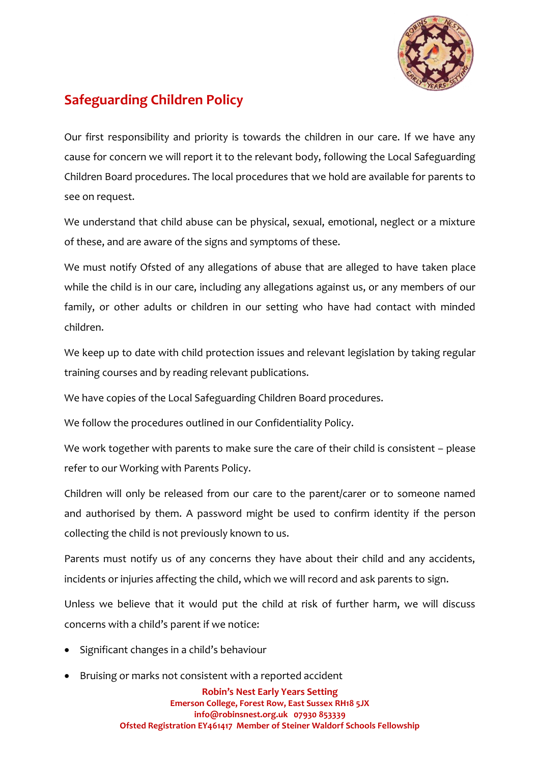

## **Safeguarding Children Policy**

Our first responsibility and priority is towards the children in our care. If we have any cause for concern we will report it to the relevant body, following the Local Safeguarding Children Board procedures. The local procedures that we hold are available for parents to see on request.

We understand that child abuse can be physical, sexual, emotional, neglect or a mixture of these, and are aware of the signs and symptoms of these.

We must notify Ofsted of any allegations of abuse that are alleged to have taken place while the child is in our care, including any allegations against us, or any members of our family, or other adults or children in our setting who have had contact with minded children.

We keep up to date with child protection issues and relevant legislation by taking regular training courses and by reading relevant publications.

We have copies of the Local Safeguarding Children Board procedures.

We follow the procedures outlined in our Confidentiality Policy.

We work together with parents to make sure the care of their child is consistent – please refer to our Working with Parents Policy.

Children will only be released from our care to the parent/carer or to someone named and authorised by them. A password might be used to confirm identity if the person collecting the child is not previously known to us.

Parents must notify us of any concerns they have about their child and any accidents, incidents or injuries affecting the child, which we will record and ask parents to sign.

Unless we believe that it would put the child at risk of further harm, we will discuss concerns with a child's parent if we notice:

- Significant changes in a child's behaviour
- Bruising or marks not consistent with a reported accident

**Robin's Nest Early Years Setting Emerson College, Forest Row, East Sussex RH18 5JX info@robinsnest.org.uk 07930 853339 Ofsted Registration EY461417 Member of Steiner Waldorf Schools Fellowship**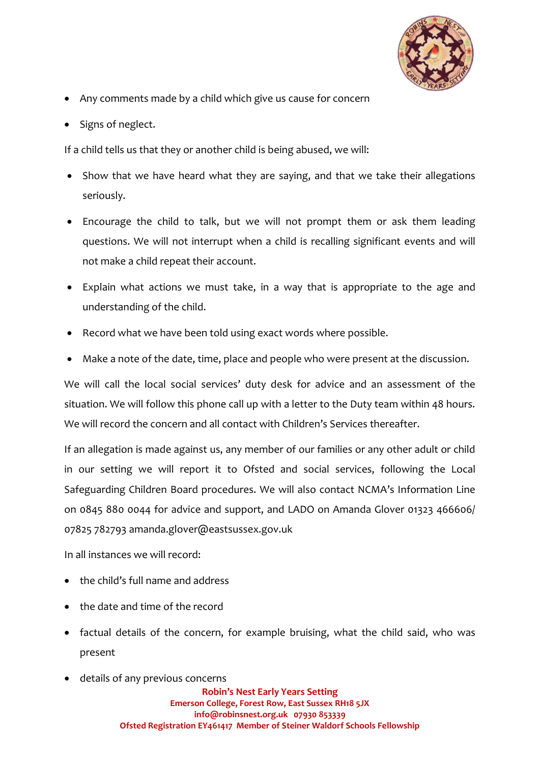

- Any comments made by a child which give us cause for concern
- Signs of neglect.

If a child tells us that they or another child is being abused, we will:

- Show that we have heard what they are saying, and that we take their allegations seriously.
- Encourage the child to talk, but we will not prompt them or ask them leading questions. We will not interrupt when a child is recalling significant events and will not make a child repeat their account.
- Explain what actions we must take, in a way that is appropriate to the age and understanding of the child.
- Record what we have been told using exact words where possible.
- Make a note of the date, time, place and people who were present at the discussion.

We will call the local social services' duty desk for advice and an assessment of the situation. We will follow this phone call up with a letter to the Duty team within 48 hours. We will record the concern and all contact with Children's Services thereafter.

If an allegation is made against us, any member of our families or any other adult or child in our setting we will report it to Ofsted and social services, following the Local Safeguarding Children Board procedures. We will also contact NCMA's Information Line on 0845 880 0044 for advice and support, and LADO on Amanda Glover 01323 466606/ 07825 782793 amanda.glover@eastsussex.gov.uk

In all instances we will record:

- the child's full name and address
- the date and time of the record
- factual details of the concern, for example bruising, what the child said, who was present
- details of any previous concerns

**Robin's Nest Early Years Setting Emerson College, Forest Row, East Sussex RH18 5JX info@robinsnest.org.uk 07930 853339 Ofsted Registration EY461417 Member of Steiner Waldorf Schools Fellowship**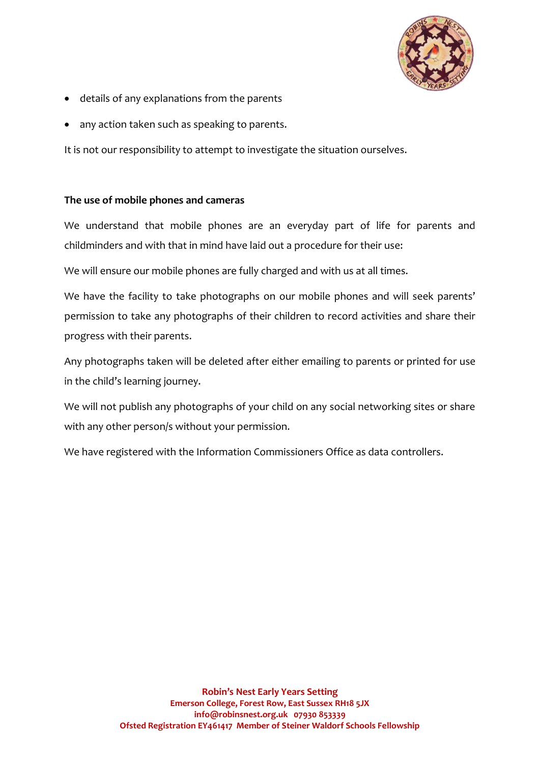

- details of any explanations from the parents
- any action taken such as speaking to parents.

It is not our responsibility to attempt to investigate the situation ourselves.

## **The use of mobile phones and cameras**

We understand that mobile phones are an everyday part of life for parents and childminders and with that in mind have laid out a procedure for their use:

We will ensure our mobile phones are fully charged and with us at all times.

We have the facility to take photographs on our mobile phones and will seek parents' permission to take any photographs of their children to record activities and share their progress with their parents.

Any photographs taken will be deleted after either emailing to parents or printed for use in the child's learning journey.

We will not publish any photographs of your child on any social networking sites or share with any other person/s without your permission.

We have registered with the Information Commissioners Office as data controllers.